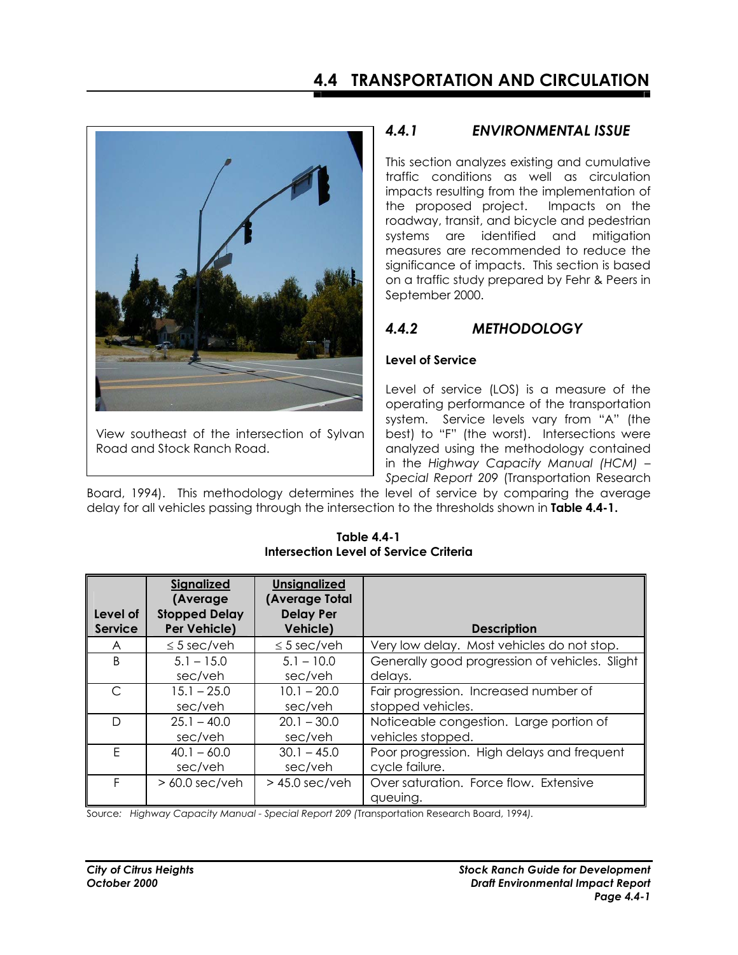

View southeast of the intersection of Sylvan Road and Stock Ranch Road.

## *4.4.1 ENVIRONMENTAL ISSUE*

This section analyzes existing and cumulative traffic conditions as well as circulation impacts resulting from the implementation of the proposed project. Impacts on the roadway, transit, and bicycle and pedestrian systems are identified and mitigation measures are recommended to reduce the significance of impacts. This section is based on a traffic study prepared by Fehr & Peers in September 2000.

# *4.4.2 METHODOLOGY*

## **Level of Service**

Level of service (LOS) is a measure of the operating performance of the transportation system. Service levels vary from "A" (the best) to "F" (the worst). Intersections were analyzed using the methodology contained in the *Highway Capacity Manual (HCM) – Special Report 209* (Transportation Research

Board, 1994). This methodology determines the level of service by comparing the average delay for all vehicles passing through the intersection to the thresholds shown in **Table 4.4-1.**

| Level of<br><b>Service</b> | <b>Signalized</b><br>(Average)<br><b>Stopped Delay</b><br>Per Vehicle) | <b>Unsignalized</b><br>(Average Total<br><b>Delay Per</b><br>Vehicle) | <b>Description</b>                                 |
|----------------------------|------------------------------------------------------------------------|-----------------------------------------------------------------------|----------------------------------------------------|
| A                          | $\leq$ 5 sec/veh                                                       | $\leq$ 5 sec/veh                                                      | Very low delay. Most vehicles do not stop.         |
| B                          | $5.1 - 15.0$                                                           | $5.1 - 10.0$                                                          | Generally good progression of vehicles. Slight     |
|                            | sec/veh                                                                | sec/veh                                                               | delays.                                            |
| $\subset$                  | $15.1 - 25.0$                                                          | $10.1 - 20.0$                                                         | Fair progression. Increased number of              |
|                            | sec/veh                                                                | sec/veh                                                               | stopped vehicles.                                  |
| D                          | $25.1 - 40.0$                                                          | $20.1 - 30.0$                                                         | Noticeable congestion. Large portion of            |
|                            | sec/veh                                                                | sec/veh                                                               | vehicles stopped.                                  |
| F                          | $40.1 - 60.0$                                                          | $30.1 - 45.0$                                                         | Poor progression. High delays and frequent         |
|                            | sec/veh                                                                | sec/veh                                                               | cycle failure.                                     |
| F                          | $> 60.0$ sec/veh                                                       | $>$ 45.0 sec/veh                                                      | Over saturation. Force flow. Extensive<br>queuing. |

**Table 4.4-1 Intersection Level of Service Criteria** 

Source*: Highway Capacity Manual - Special Report 209 (*Transportation Research Board, 1994*).*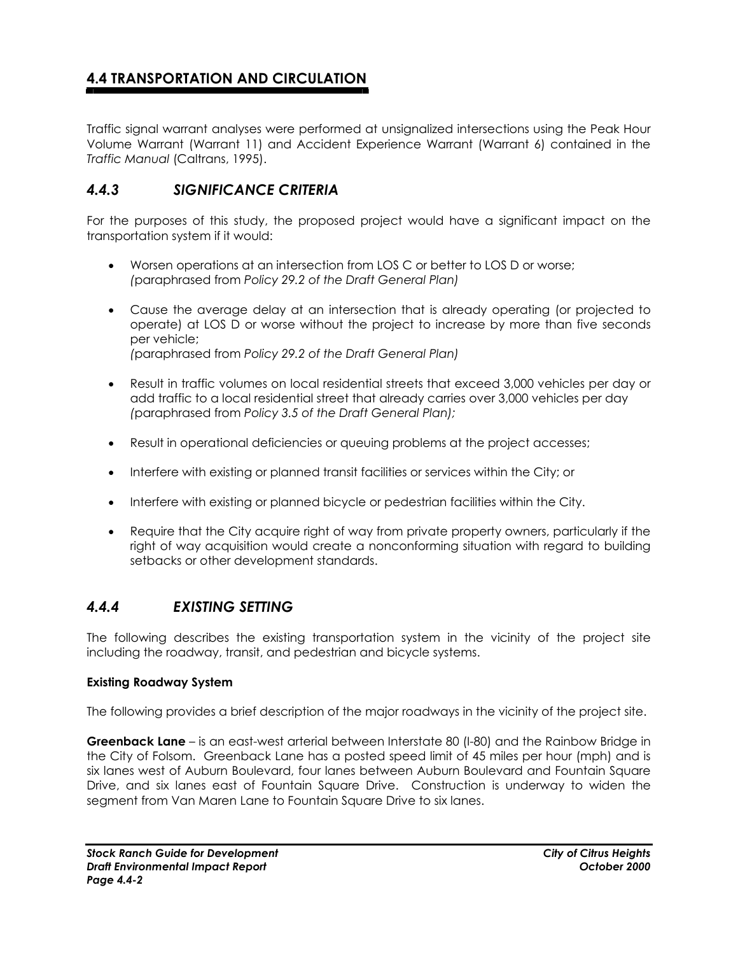Traffic signal warrant analyses were performed at unsignalized intersections using the Peak Hour Volume Warrant (Warrant 11) and Accident Experience Warrant (Warrant 6) contained in the *Traffic Manual* (Caltrans, 1995).

## *4.4.3 SIGNIFICANCE CRITERIA*

For the purposes of this study, the proposed project would have a significant impact on the transportation system if it would:

- Worsen operations at an intersection from LOS C or better to LOS D or worse;  *(*paraphrased from *Policy 29.2 of the Draft General Plan)*
- Cause the average delay at an intersection that is already operating (or projected to operate) at LOS D or worse without the project to increase by more than five seconds per vehicle; *(*paraphrased from *Policy 29.2 of the Draft General Plan)*
- Result in traffic volumes on local residential streets that exceed 3,000 vehicles per day or add traffic to a local residential street that already carries over 3,000 vehicles per day *(*paraphrased from *Policy 3.5 of the Draft General Plan);*
- Result in operational deficiencies or queuing problems at the project accesses;
- Interfere with existing or planned transit facilities or services within the City; or
- Interfere with existing or planned bicycle or pedestrian facilities within the City.
- Require that the City acquire right of way from private property owners, particularly if the right of way acquisition would create a nonconforming situation with regard to building setbacks or other development standards.

## *4.4.4 EXISTING SETTING*

The following describes the existing transportation system in the vicinity of the project site including the roadway, transit, and pedestrian and bicycle systems.

### **Existing Roadway System**

The following provides a brief description of the major roadways in the vicinity of the project site.

**Greenback Lane** – is an east-west arterial between Interstate 80 (I-80) and the Rainbow Bridge in the City of Folsom. Greenback Lane has a posted speed limit of 45 miles per hour (mph) and is six lanes west of Auburn Boulevard, four lanes between Auburn Boulevard and Fountain Square Drive, and six lanes east of Fountain Square Drive. Construction is underway to widen the segment from Van Maren Lane to Fountain Square Drive to six lanes.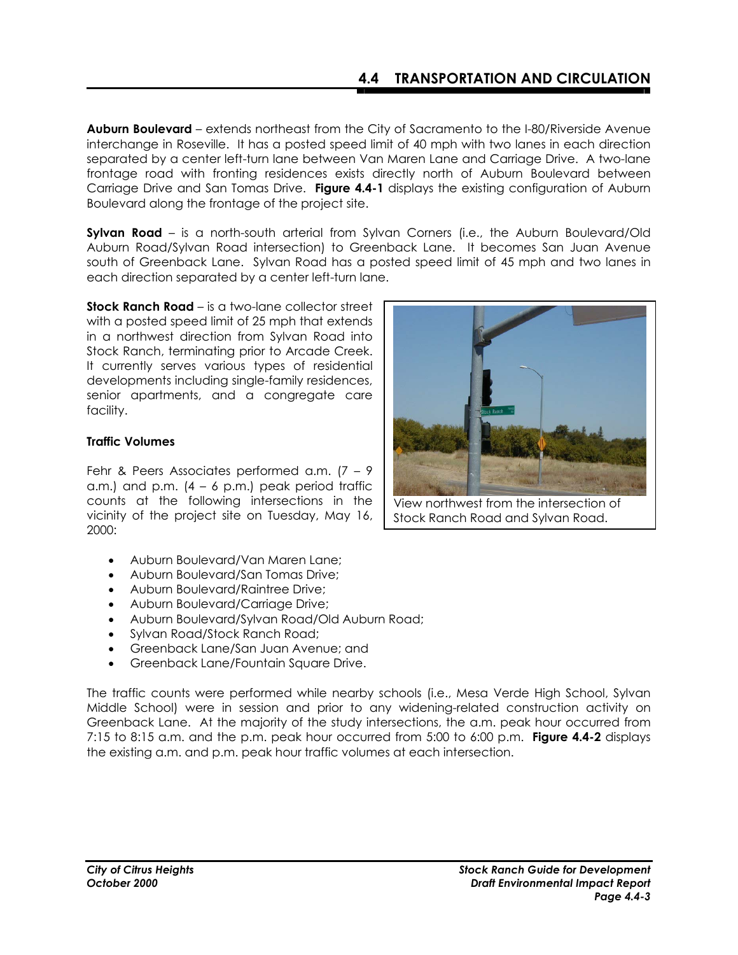**Auburn Boulevard** – extends northeast from the City of Sacramento to the I-80/Riverside Avenue interchange in Roseville. It has a posted speed limit of 40 mph with two lanes in each direction separated by a center left-turn lane between Van Maren Lane and Carriage Drive. A two-lane frontage road with fronting residences exists directly north of Auburn Boulevard between Carriage Drive and San Tomas Drive. **Figure 4.4-1** displays the existing configuration of Auburn Boulevard along the frontage of the project site.

**Sylvan Road** – is a north-south arterial from Sylvan Corners (i.e., the Auburn Boulevard/Old Auburn Road/Sylvan Road intersection) to Greenback Lane. It becomes San Juan Avenue south of Greenback Lane. Sylvan Road has a posted speed limit of 45 mph and two lanes in each direction separated by a center left-turn lane.

**Stock Ranch Road** – is a two-lane collector street with a posted speed limit of 25 mph that extends in a northwest direction from Sylvan Road into Stock Ranch, terminating prior to Arcade Creek. It currently serves various types of residential developments including single-family residences, senior apartments, and a congregate care facility.

### **Traffic Volumes**

Fehr & Peers Associates performed a.m. (7 – 9 a.m.) and p.m.  $(4 - 6)$  p.m.) peak period traffic counts at the following intersections in the vicinity of the project site on Tuesday, May 16, 2000:

- Auburn Boulevard/Van Maren Lane;
- Auburn Boulevard/San Tomas Drive;
- Auburn Boulevard/Raintree Drive;
- Auburn Boulevard/Carriage Drive;
- Auburn Boulevard/Sylvan Road/Old Auburn Road;
- Sylvan Road/Stock Ranch Road;
- Greenback Lane/San Juan Avenue; and
- Greenback Lane/Fountain Square Drive.

The traffic counts were performed while nearby schools (i.e., Mesa Verde High School, Sylvan Middle School) were in session and prior to any widening-related construction activity on Greenback Lane. At the majority of the study intersections, the a.m. peak hour occurred from 7:15 to 8:15 a.m. and the p.m. peak hour occurred from 5:00 to 6:00 p.m. **Figure 4.4-2** displays the existing a.m. and p.m. peak hour traffic volumes at each intersection.



View northwest from the intersection of Stock Ranch Road and Sylvan Road.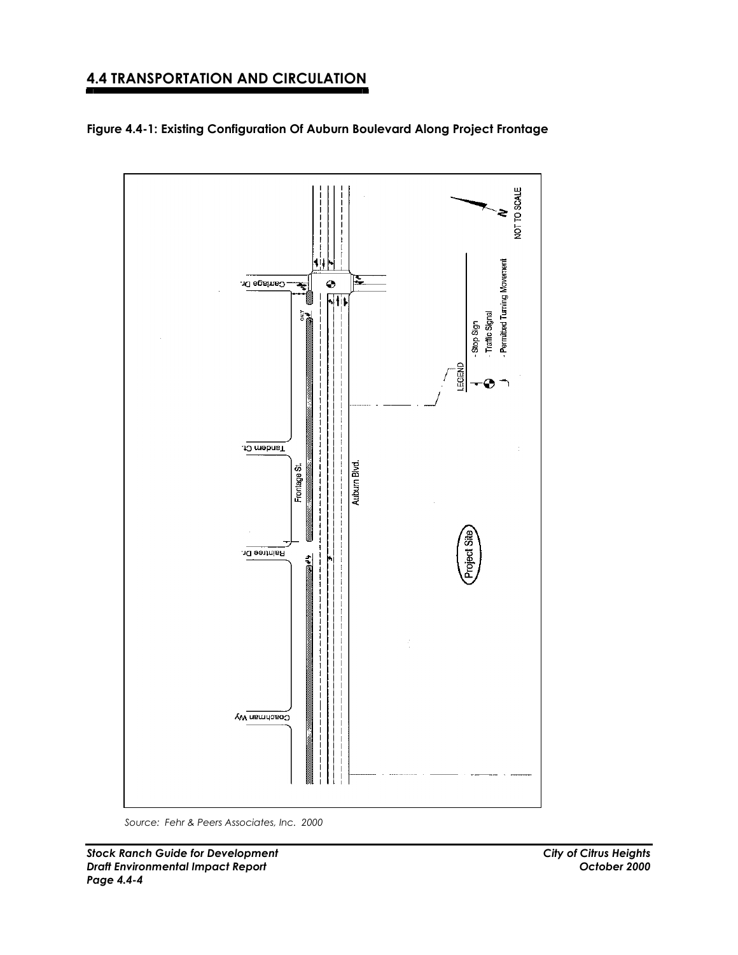



*Source: Fehr & Peers Associates, Inc. 2000*

*Stock Ranch Guide for Development City of Citrus Heights Draft Environmental Impact Report Page 4.4-4*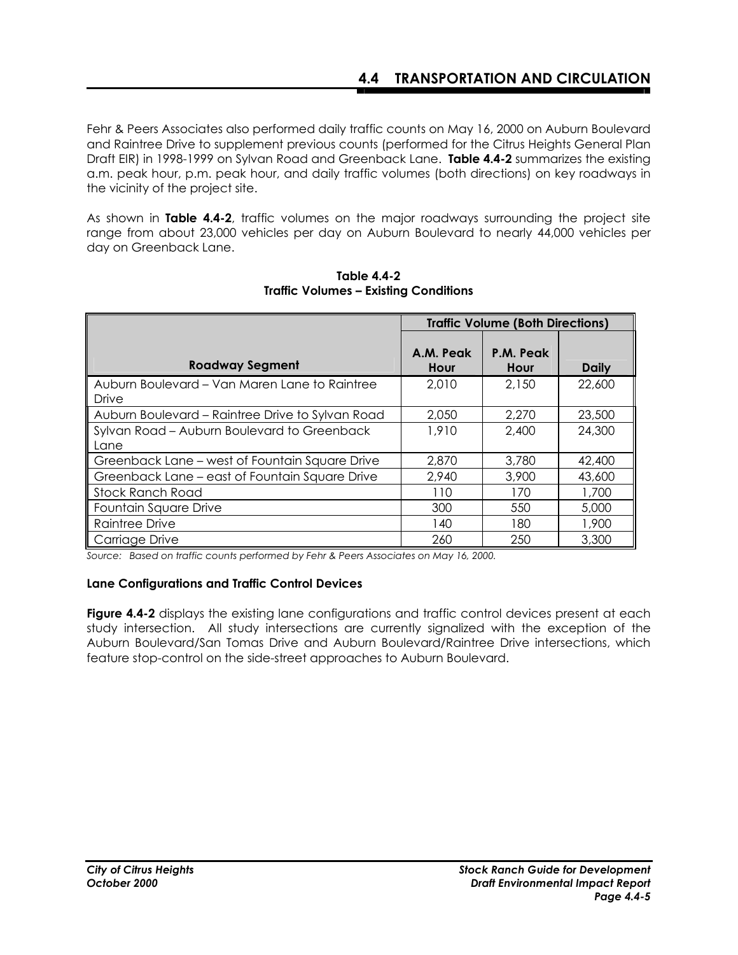Fehr & Peers Associates also performed daily traffic counts on May 16, 2000 on Auburn Boulevard and Raintree Drive to supplement previous counts (performed for the Citrus Heights General Plan Draft EIR) in 1998-1999 on Sylvan Road and Greenback Lane. **Table 4.4-2** summarizes the existing a.m. peak hour, p.m. peak hour, and daily traffic volumes (both directions) on key roadways in the vicinity of the project site.

As shown in **Table 4.4-2**, traffic volumes on the major roadways surrounding the project site range from about 23,000 vehicles per day on Auburn Boulevard to nearly 44,000 vehicles per day on Greenback Lane.

|                                                        | <b>Traffic Volume (Both Directions)</b> |                   |              |  |
|--------------------------------------------------------|-----------------------------------------|-------------------|--------------|--|
| <b>Roadway Segment</b>                                 | A.M. Peak<br>Hour                       | P.M. Peak<br>Hour | <b>Daily</b> |  |
| Auburn Boulevard – Van Maren Lane to Raintree<br>Drive | 2,010                                   | 2,150             | 22,600       |  |
| Auburn Boulevard – Raintree Drive to Sylvan Road       | 2,050                                   | 2,270             | 23,500       |  |
| Sylvan Road - Auburn Boulevard to Greenback            | 1,910                                   | 2,400             | 24,300       |  |
| Lane                                                   |                                         |                   |              |  |
| Greenback Lane – west of Fountain Square Drive         | 2,870                                   | 3,780             | 42,400       |  |
| Greenback Lane - east of Fountain Square Drive         | 2,940                                   | 3,900             | 43,600       |  |
| <b>Stock Ranch Road</b>                                | 110                                     | 170               | 1,700        |  |
| Fountain Square Drive                                  | 300                                     | 550               | 5,000        |  |
| Raintree Drive                                         | 140                                     | 180               | 1,900        |  |
| Carriage Drive                                         | 260                                     | 250               | 3,300        |  |

**Table 4.4-2 Traffic Volumes – Existing Conditions** 

*Source: Based on traffic counts performed by Fehr & Peers Associates on May 16, 2000.*

#### **Lane Configurations and Traffic Control Devices**

**Figure 4.4-2** displays the existing lane configurations and traffic control devices present at each study intersection. All study intersections are currently signalized with the exception of the Auburn Boulevard/San Tomas Drive and Auburn Boulevard/Raintree Drive intersections, which feature stop-control on the side-street approaches to Auburn Boulevard.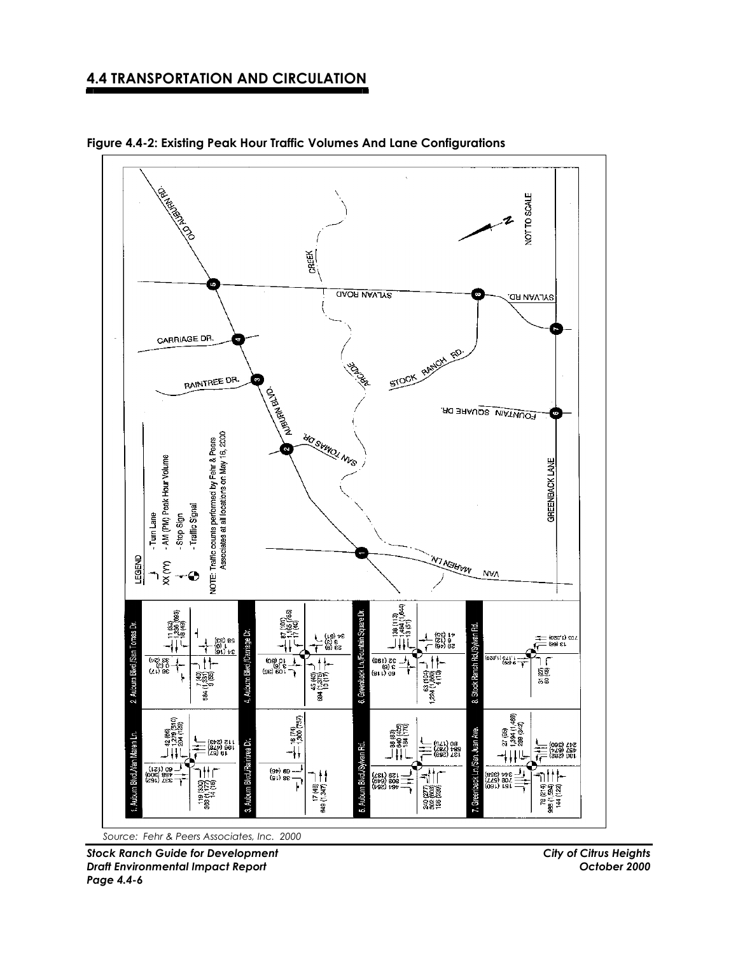

**Figure 4.4-2: Existing Peak Hour Traffic Volumes And Lane Configurations** 

*Stock Ranch Guide for Development City of Citrus Heights Draft Environmental Impact Report October 2000* 

*Page 4.4-6*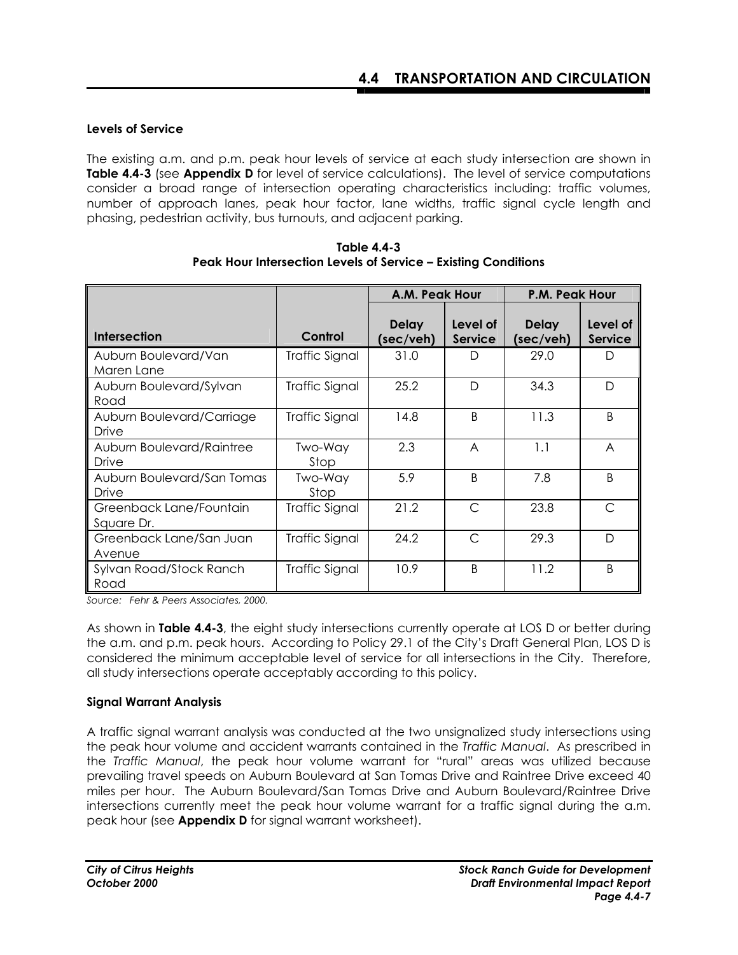### **Levels of Service**

The existing a.m. and p.m. peak hour levels of service at each study intersection are shown in **Table 4.4-3** (see **Appendix D** for level of service calculations). The level of service computations consider a broad range of intersection operating characteristics including: traffic volumes, number of approach lanes, peak hour factor, lane widths, traffic signal cycle length and phasing, pedestrian activity, bus turnouts, and adjacent parking.

|                                       |                       | A.M. Peak Hour            |                            | P.M. Peak Hour            |                            |  |
|---------------------------------------|-----------------------|---------------------------|----------------------------|---------------------------|----------------------------|--|
| Intersection                          | Control               | <b>Delay</b><br>(sec/veh) | Level of<br><b>Service</b> | <b>Delay</b><br>(sec/veh) | Level of<br><b>Service</b> |  |
| Auburn Boulevard/Van<br>Maren Lane    | Traffic Signal        | 31.0                      | D                          | 29.0                      | D                          |  |
| Auburn Boulevard/Sylvan<br>Road       | <b>Traffic Signal</b> | 25.2                      | D                          | 34.3                      | D                          |  |
| Auburn Boulevard/Carriage<br>Drive    | Traffic Signal        | 14.8                      | B                          | 11.3                      | <sub>B</sub>               |  |
| Auburn Boulevard/Raintree<br>Drive    | Two-Way<br>Stop       | 2.3                       | A                          | 1.1                       | A                          |  |
| Auburn Boulevard/San Tomas<br>Drive   | Two-Way<br>Stop       | 5.9                       | R                          | 7.8                       | $\overline{B}$             |  |
| Greenback Lane/Fountain<br>Square Dr. | Traffic Signal        | 21.2                      | C                          | 23.8                      | C                          |  |
| Greenback Lane/San Juan<br>Avenue     | Traffic Signal        | 24.2                      | $\subset$                  | 29.3                      | D                          |  |
| Sylvan Road/Stock Ranch<br>Road       | Traffic Signal        | 10.9                      | B                          | 11.2                      | <sub>B</sub>               |  |

**Table 4.4-3 Peak Hour Intersection Levels of Service – Existing Conditions** 

*Source: Fehr & Peers Associates, 2000.* 

As shown in **Table 4.4-3**, the eight study intersections currently operate at LOS D or better during the a.m. and p.m. peak hours. According to Policy 29.1 of the City's Draft General Plan, LOS D is considered the minimum acceptable level of service for all intersections in the City. Therefore, all study intersections operate acceptably according to this policy.

### **Signal Warrant Analysis**

A traffic signal warrant analysis was conducted at the two unsignalized study intersections using the peak hour volume and accident warrants contained in the *Traffic Manual*. As prescribed in the *Traffic Manual*, the peak hour volume warrant for "rural" areas was utilized because prevailing travel speeds on Auburn Boulevard at San Tomas Drive and Raintree Drive exceed 40 miles per hour. The Auburn Boulevard/San Tomas Drive and Auburn Boulevard/Raintree Drive intersections currently meet the peak hour volume warrant for a traffic signal during the a.m. peak hour (see **Appendix D** for signal warrant worksheet).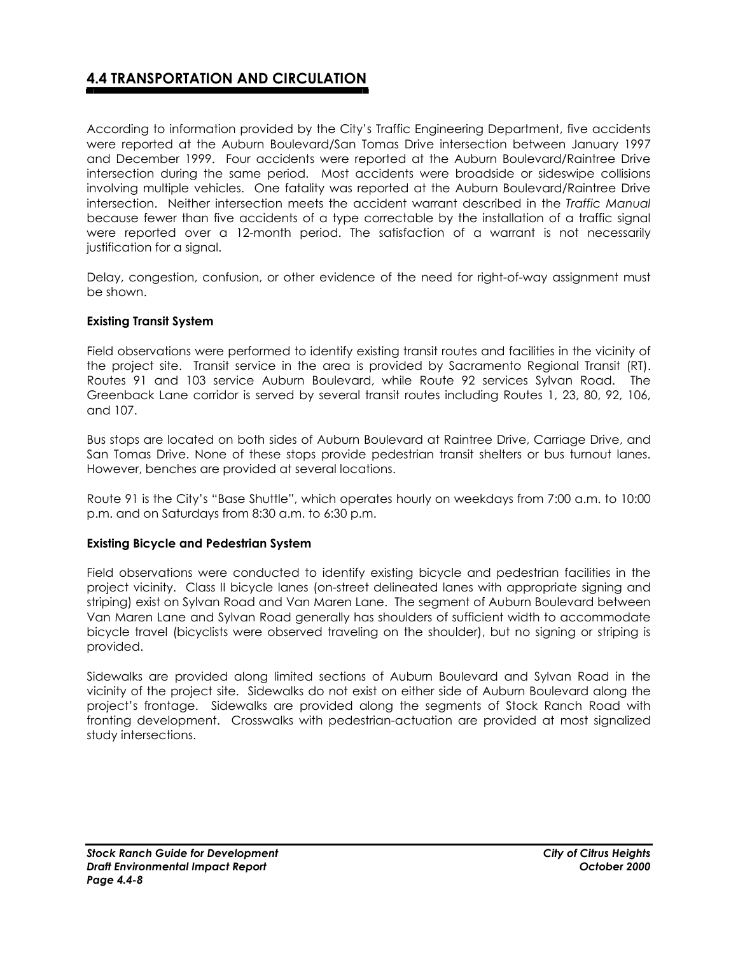According to information provided by the City's Traffic Engineering Department, five accidents were reported at the Auburn Boulevard/San Tomas Drive intersection between January 1997 and December 1999. Four accidents were reported at the Auburn Boulevard/Raintree Drive intersection during the same period. Most accidents were broadside or sideswipe collisions involving multiple vehicles. One fatality was reported at the Auburn Boulevard/Raintree Drive intersection. Neither intersection meets the accident warrant described in the *Traffic Manual* because fewer than five accidents of a type correctable by the installation of a traffic signal were reported over a 12-month period. The satisfaction of a warrant is not necessarily justification for a signal.

Delay, congestion, confusion, or other evidence of the need for right-of-way assignment must be shown.

### **Existing Transit System**

Field observations were performed to identify existing transit routes and facilities in the vicinity of the project site. Transit service in the area is provided by Sacramento Regional Transit (RT). Routes 91 and 103 service Auburn Boulevard, while Route 92 services Sylvan Road. The Greenback Lane corridor is served by several transit routes including Routes 1, 23, 80, 92, 106, and 107.

Bus stops are located on both sides of Auburn Boulevard at Raintree Drive, Carriage Drive, and San Tomas Drive. None of these stops provide pedestrian transit shelters or bus turnout lanes. However, benches are provided at several locations.

Route 91 is the City's "Base Shuttle", which operates hourly on weekdays from 7:00 a.m. to 10:00 p.m. and on Saturdays from 8:30 a.m. to 6:30 p.m.

#### **Existing Bicycle and Pedestrian System**

Field observations were conducted to identify existing bicycle and pedestrian facilities in the project vicinity. Class II bicycle lanes (on-street delineated lanes with appropriate signing and striping) exist on Sylvan Road and Van Maren Lane. The segment of Auburn Boulevard between Van Maren Lane and Sylvan Road generally has shoulders of sufficient width to accommodate bicycle travel (bicyclists were observed traveling on the shoulder), but no signing or striping is provided.

Sidewalks are provided along limited sections of Auburn Boulevard and Sylvan Road in the vicinity of the project site. Sidewalks do not exist on either side of Auburn Boulevard along the project's frontage. Sidewalks are provided along the segments of Stock Ranch Road with fronting development. Crosswalks with pedestrian-actuation are provided at most signalized study intersections.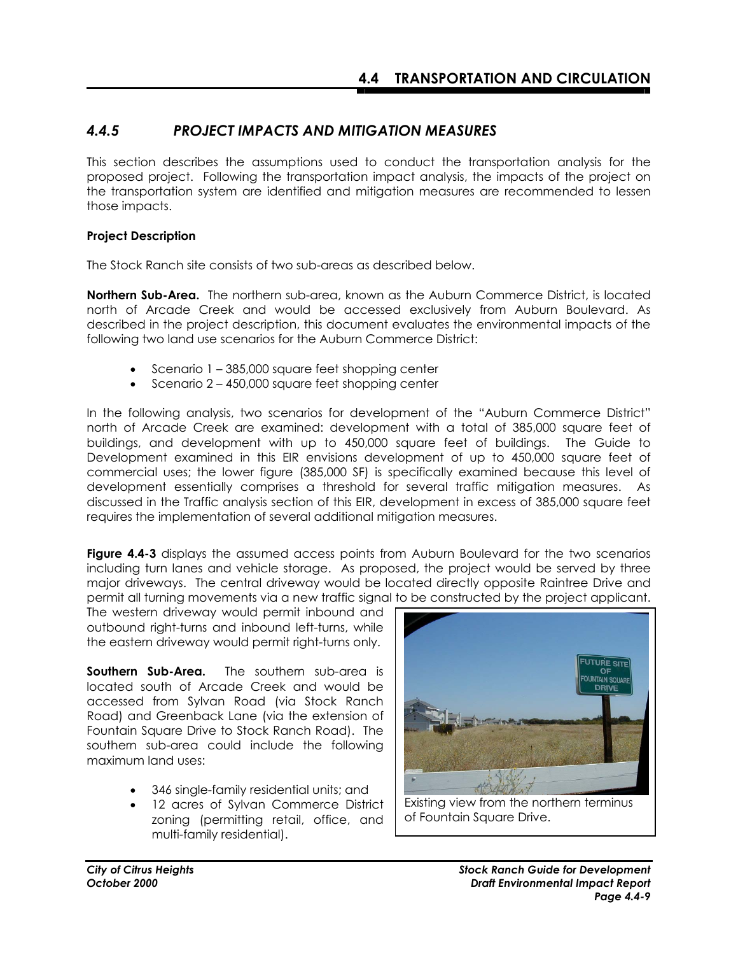## *4.4.5 PROJECT IMPACTS AND MITIGATION MEASURES*

This section describes the assumptions used to conduct the transportation analysis for the proposed project. Following the transportation impact analysis, the impacts of the project on the transportation system are identified and mitigation measures are recommended to lessen those impacts.

### **Project Description**

The Stock Ranch site consists of two sub-areas as described below.

**Northern Sub-Area.**The northern sub-area, known as the Auburn Commerce District, is located north of Arcade Creek and would be accessed exclusively from Auburn Boulevard. As described in the project description, this document evaluates the environmental impacts of the following two land use scenarios for the Auburn Commerce District:

- Scenario 1 385,000 square feet shopping center
- Scenario 2 450,000 square feet shopping center

In the following analysis, two scenarios for development of the "Auburn Commerce District" north of Arcade Creek are examined: development with a total of 385,000 square feet of buildings, and development with up to 450,000 square feet of buildings. The Guide to Development examined in this EIR envisions development of up to 450,000 square feet of commercial uses; the lower figure (385,000 SF) is specifically examined because this level of development essentially comprises a threshold for several traffic mitigation measures. As discussed in the Traffic analysis section of this EIR, development in excess of 385,000 square feet requires the implementation of several additional mitigation measures.

**Figure 4.4-3** displays the assumed access points from Auburn Boulevard for the two scenarios including turn lanes and vehicle storage. As proposed, the project would be served by three major driveways. The central driveway would be located directly opposite Raintree Drive and permit all turning movements via a new traffic signal to be constructed by the project applicant.

The western driveway would permit inbound and outbound right-turns and inbound left-turns, while the eastern driveway would permit right-turns only.

**Southern Sub-Area.** The southern sub-area is located south of Arcade Creek and would be accessed from Sylvan Road (via Stock Ranch Road) and Greenback Lane (via the extension of Fountain Square Drive to Stock Ranch Road). The southern sub-area could include the following maximum land uses:

- 346 single-family residential units; and
- 12 acres of Sylvan Commerce District zoning (permitting retail, office, and multi-family residential).



Existing view from the northern terminus of Fountain Square Drive.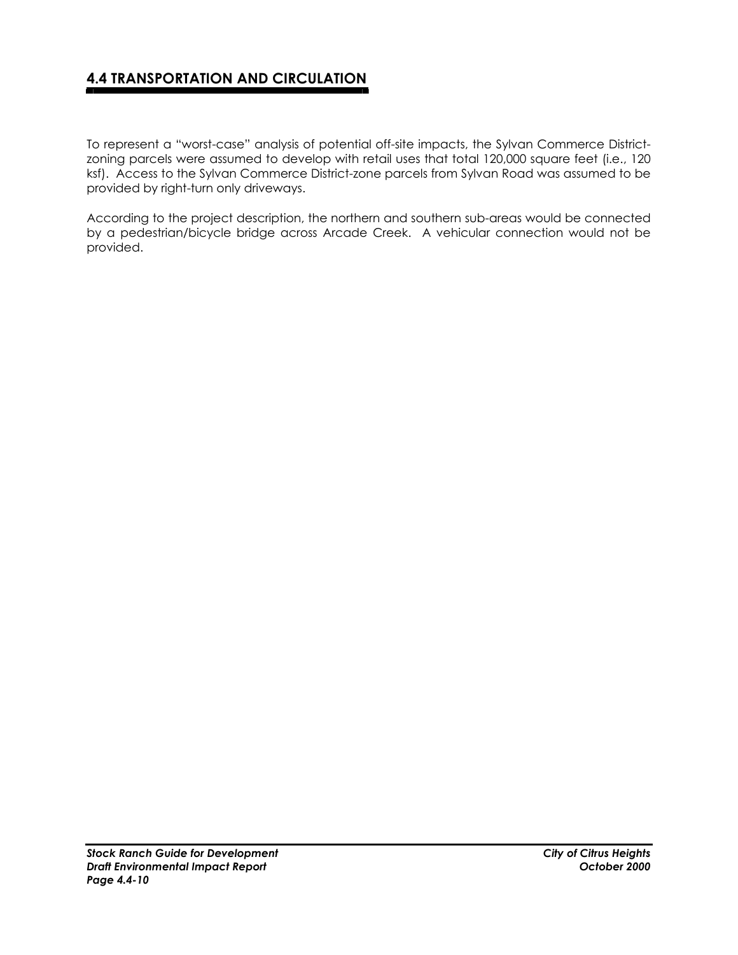To represent a "worst-case" analysis of potential off-site impacts, the Sylvan Commerce Districtzoning parcels were assumed to develop with retail uses that total 120,000 square feet (i.e., 120 ksf). Access to the Sylvan Commerce District-zone parcels from Sylvan Road was assumed to be provided by right-turn only driveways.

According to the project description, the northern and southern sub-areas would be connected by a pedestrian/bicycle bridge across Arcade Creek. A vehicular connection would not be provided.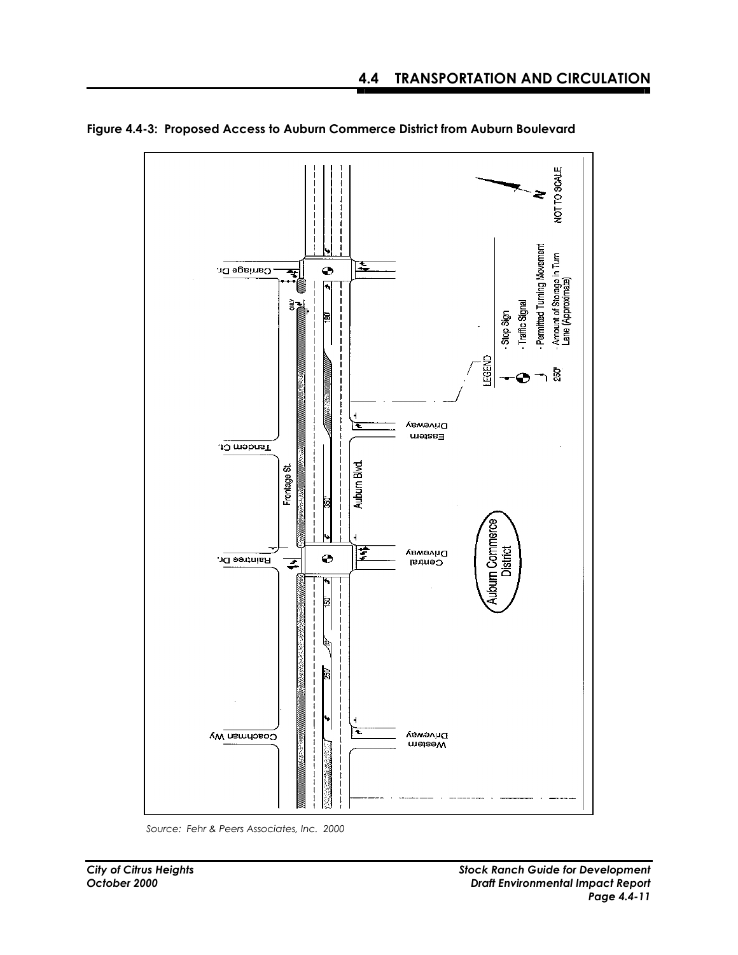

**Figure 4.4-3: Proposed Access to Auburn Commerce District from Auburn Boulevard**

*Source: Fehr & Peers Associates, Inc. 2000*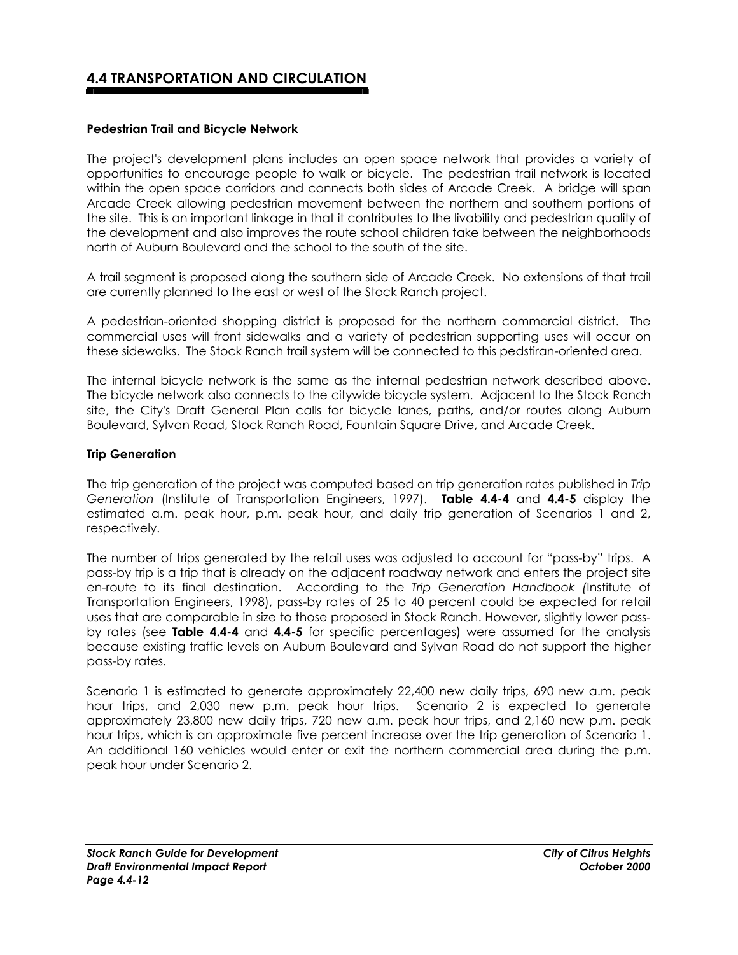### **Pedestrian Trail and Bicycle Network**

The project's development plans includes an open space network that provides a variety of opportunities to encourage people to walk or bicycle. The pedestrian trail network is located within the open space corridors and connects both sides of Arcade Creek. A bridge will span Arcade Creek allowing pedestrian movement between the northern and southern portions of the site. This is an important linkage in that it contributes to the livability and pedestrian quality of the development and also improves the route school children take between the neighborhoods north of Auburn Boulevard and the school to the south of the site.

A trail segment is proposed along the southern side of Arcade Creek. No extensions of that trail are currently planned to the east or west of the Stock Ranch project.

A pedestrian-oriented shopping district is proposed for the northern commercial district. The commercial uses will front sidewalks and a variety of pedestrian supporting uses will occur on these sidewalks. The Stock Ranch trail system will be connected to this pedstiran-oriented area.

The internal bicycle network is the same as the internal pedestrian network described above. The bicycle network also connects to the citywide bicycle system. Adjacent to the Stock Ranch site, the City's Draft General Plan calls for bicycle lanes, paths, and/or routes along Auburn Boulevard, Sylvan Road, Stock Ranch Road, Fountain Square Drive, and Arcade Creek.

#### **Trip Generation**

The trip generation of the project was computed based on trip generation rates published in *Trip Generation* (Institute of Transportation Engineers, 1997). **Table 4.4-4** and **4.4-5** display the estimated a.m. peak hour, p.m. peak hour, and daily trip generation of Scenarios 1 and 2, respectively.

The number of trips generated by the retail uses was adjusted to account for "pass-by" trips. A pass-by trip is a trip that is already on the adjacent roadway network and enters the project site en-route to its final destination. According to the *Trip Generation Handbook (*Institute of Transportation Engineers, 1998), pass-by rates of 25 to 40 percent could be expected for retail uses that are comparable in size to those proposed in Stock Ranch. However, slightly lower passby rates (see **Table 4.4-4** and **4.4-5** for specific percentages) were assumed for the analysis because existing traffic levels on Auburn Boulevard and Sylvan Road do not support the higher pass-by rates.

Scenario 1 is estimated to generate approximately 22,400 new daily trips, 690 new a.m. peak hour trips, and 2,030 new p.m. peak hour trips. Scenario 2 is expected to generate approximately 23,800 new daily trips, 720 new a.m. peak hour trips, and 2,160 new p.m. peak hour trips, which is an approximate five percent increase over the trip generation of Scenario 1. An additional 160 vehicles would enter or exit the northern commercial area during the p.m. peak hour under Scenario 2.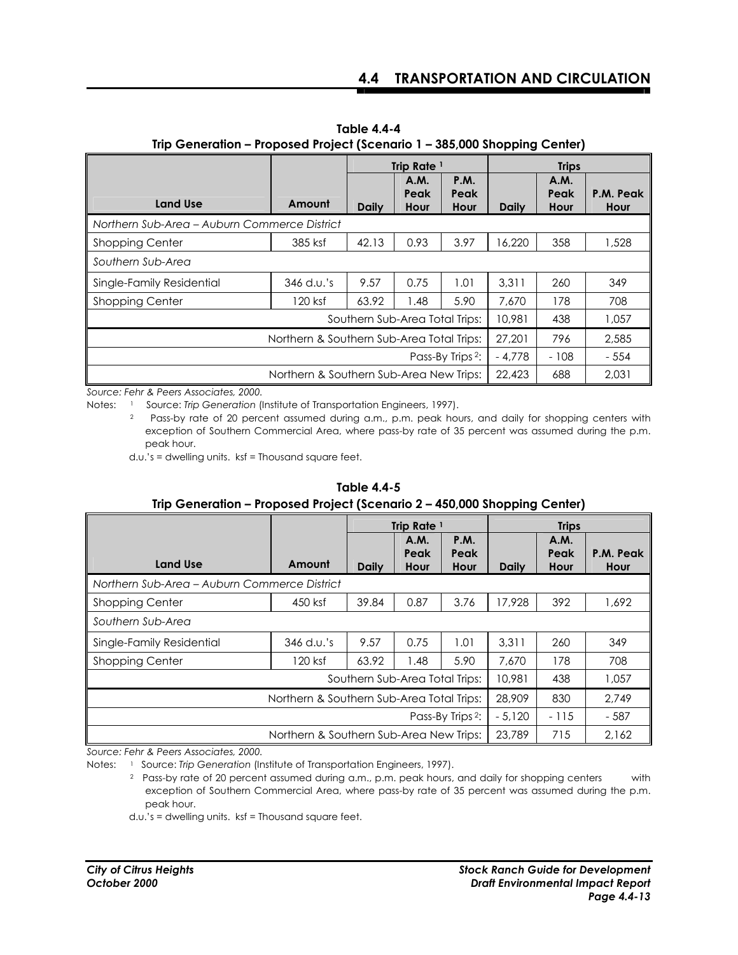|                                              |              | Trip Rate <sup>1</sup> |                      |                             | <b>Trips</b> |                      |                   |
|----------------------------------------------|--------------|------------------------|----------------------|-----------------------------|--------------|----------------------|-------------------|
| <b>Land Use</b>                              | Amount       | <b>Daily</b>           | A.M.<br>Peak<br>Hour | <b>P.M.</b><br>Peak<br>Hour | <b>Daily</b> | A.M.<br>Peak<br>Hour | P.M. Peak<br>Hour |
| Northern Sub-Area – Auburn Commerce District |              |                        |                      |                             |              |                      |                   |
| <b>Shopping Center</b>                       | 385 ksf      | 42.13                  | 0.93                 | 3.97                        | 6.220        | 358                  | 1,528             |
| Southern Sub-Area                            |              |                        |                      |                             |              |                      |                   |
| Single-Family Residential                    | $346$ d.u.'s | 9.57                   | 0.75                 | 1.01                        | 3.311        | 260                  | 349               |
| Shopping Center                              | 120 ksf      | 63.92                  | 1.48                 | 5.90                        | 7.670        | 178                  | 708               |
| Southern Sub-Area Total Trips:               |              |                        |                      |                             |              | 438                  | 1.057             |
| Northern & Southern Sub-Area Total Trips:    |              |                        |                      |                             | 27,201       | 796                  | 2.585             |
| Pass-By Trips <sup>2</sup> :                 |              |                        |                      |                             | $-4.778$     | $-108$               | $-554$            |
| Northern & Southern Sub-Area New Trips:      |              |                        |                      | 22,423                      | 688          | 2.031                |                   |

**Table 4.4-4 Trip Generation – Proposed Project (Scenario 1 – 385,000 Shopping Center)** 

*Source: Fehr & Peers Associates, 2000.* 

Notes: <sup>1</sup> Source: *Trip Generation* (Institute of Transportation Engineers, 1997).

2 Pass-by rate of 20 percent assumed during a.m., p.m. peak hours, and daily for shopping centers with exception of Southern Commercial Area, where pass-by rate of 35 percent was assumed during the p.m. peak hour.

d.u.'s = dwelling units. ksf = Thousand square feet.

| ing ocheration in reposed in green peemand 2 - 700,000 shopping center) |            |                        |                      |                             |              |                             |                   |
|-------------------------------------------------------------------------|------------|------------------------|----------------------|-----------------------------|--------------|-----------------------------|-------------------|
|                                                                         |            | Trip Rate <sup>1</sup> |                      |                             | <b>Trips</b> |                             |                   |
| <b>Land Use</b>                                                         | Amount     | <b>Daily</b>           | A.M.<br>Peak<br>Hour | <b>P.M.</b><br>Peak<br>Hour | <b>Daily</b> | <b>A.M.</b><br>Peak<br>Hour | P.M. Peak<br>Hour |
| Northern Sub-Area - Auburn Commerce District                            |            |                        |                      |                             |              |                             |                   |
| <b>Shopping Center</b>                                                  | 450 ksf    | 39.84                  | 0.87                 | 3.76                        | 17.928       | 392                         | 1,692             |
| Southern Sub-Area                                                       |            |                        |                      |                             |              |                             |                   |
| Single-Family Residential                                               | 346 d.u.'s | 9.57                   | 0.75                 | 1.01                        | 3.311        | 260                         | 349               |
| <b>Shopping Center</b>                                                  | 120 ksf    | 63.92                  | 1.48                 | 5.90                        | 7.670        | 178                         | 708               |
| Southern Sub-Area Total Trips:                                          |            |                        |                      |                             |              | 438                         | 1,057             |
| Northern & Southern Sub-Area Total Trips:                               |            |                        |                      |                             |              | 830                         | 2.749             |
| Pass-By Trips <sup>2</sup> :                                            |            |                        |                      |                             | $-5.120$     | $-115$                      | $-587$            |
| Northern & Southern Sub-Area New Trips:                                 |            |                        |                      |                             | 23.789       | 715                         | 2.162             |

## **Table 4.4-5**

## **Trip Generation – Proposed Project (Scenario 2 – 450,000 Shopping Center)**

*Source: Fehr & Peers Associates, 2000.* 

d.u.'s = dwelling units. ksf = Thousand square feet.

Notes: <sup>1</sup> Source: Trip Generation (Institute of Transportation Engineers, 1997).

<sup>2</sup> Pass-by rate of 20 percent assumed during a.m., p.m. peak hours, and daily for shopping centers with exception of Southern Commercial Area, where pass-by rate of 35 percent was assumed during the p.m. peak hour.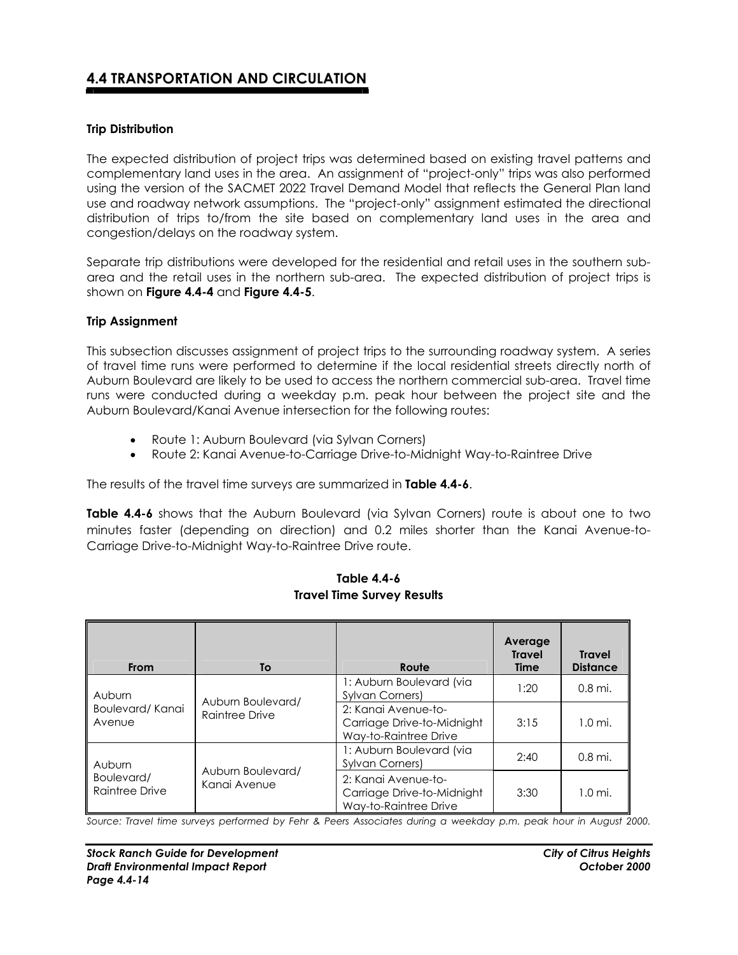### **Trip Distribution**

The expected distribution of project trips was determined based on existing travel patterns and complementary land uses in the area. An assignment of "project-only" trips was also performed using the version of the SACMET 2022 Travel Demand Model that reflects the General Plan land use and roadway network assumptions. The "project-only" assignment estimated the directional distribution of trips to/from the site based on complementary land uses in the area and congestion/delays on the roadway system.

Separate trip distributions were developed for the residential and retail uses in the southern subarea and the retail uses in the northern sub-area. The expected distribution of project trips is shown on **Figure 4.4-4** and **Figure 4.4-5**.

#### **Trip Assignment**

This subsection discusses assignment of project trips to the surrounding roadway system. A series of travel time runs were performed to determine if the local residential streets directly north of Auburn Boulevard are likely to be used to access the northern commercial sub-area. Travel time runs were conducted during a weekday p.m. peak hour between the project site and the Auburn Boulevard/Kanai Avenue intersection for the following routes:

- Route 1: Auburn Boulevard (via Sylvan Corners)
- Route 2: Kanai Avenue-to-Carriage Drive-to-Midnight Way-to-Raintree Drive

The results of the travel time surveys are summarized in **Table 4.4-6**.

**Table 4.4-6** shows that the Auburn Boulevard (via Sylvan Corners) route is about one to two minutes faster (depending on direction) and 0.2 miles shorter than the Kanai Avenue-to-Carriage Drive-to-Midnight Way-to-Raintree Drive route.

| From                         | To                | Route                                                                      | Average<br><b>Travel</b><br><b>Time</b> | <b>Travel</b><br><b>Distance</b> |
|------------------------------|-------------------|----------------------------------------------------------------------------|-----------------------------------------|----------------------------------|
| Auburn                       | Auburn Boulevard/ | 1: Auburn Boulevard (via<br><b>Sylvan Corners)</b>                         | 1:20                                    | 0.8 mi.                          |
| Boulevard/Kanai<br>Avenue    | Raintree Drive    | 2: Kanai Avenue-to-<br>Carriage Drive-to-Midnight<br>Way-to-Raintree Drive | 3:15                                    | $1.0 \text{ mi.}$                |
| Auburn                       | Auburn Boulevard/ | 1: Auburn Boulevard (via<br><b>Sylvan Corners)</b>                         | 2:40                                    | 0.8 mi.                          |
| Boulevard/<br>Raintree Drive | Kanai Avenue      | 2: Kanai Avenue-to-<br>Carriage Drive-to-Midnight<br>Way-to-Raintree Drive | 3:30                                    | $1.0 \text{ mi.}$                |

#### **Table 4.4-6 Travel Time Survey Results**

*Source: Travel time surveys performed by Fehr & Peers Associates during a weekday p.m. peak hour in August 2000.*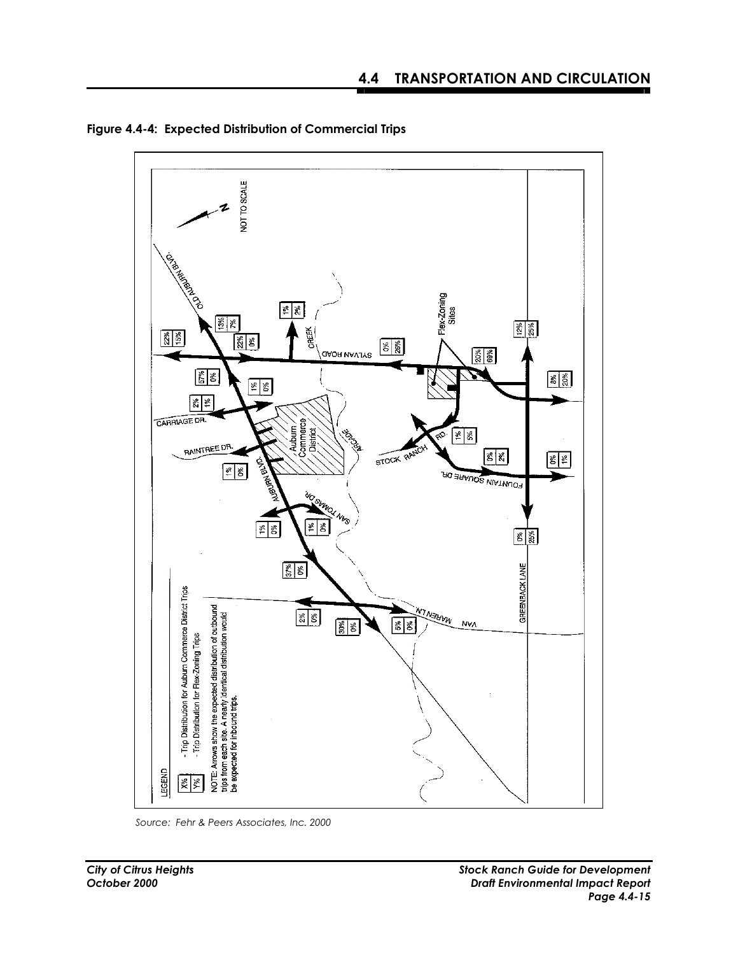

**Figure 4.4-4: Expected Distribution of Commercial Trips** 

*Source: Fehr & Peers Associates, Inc. 2000*